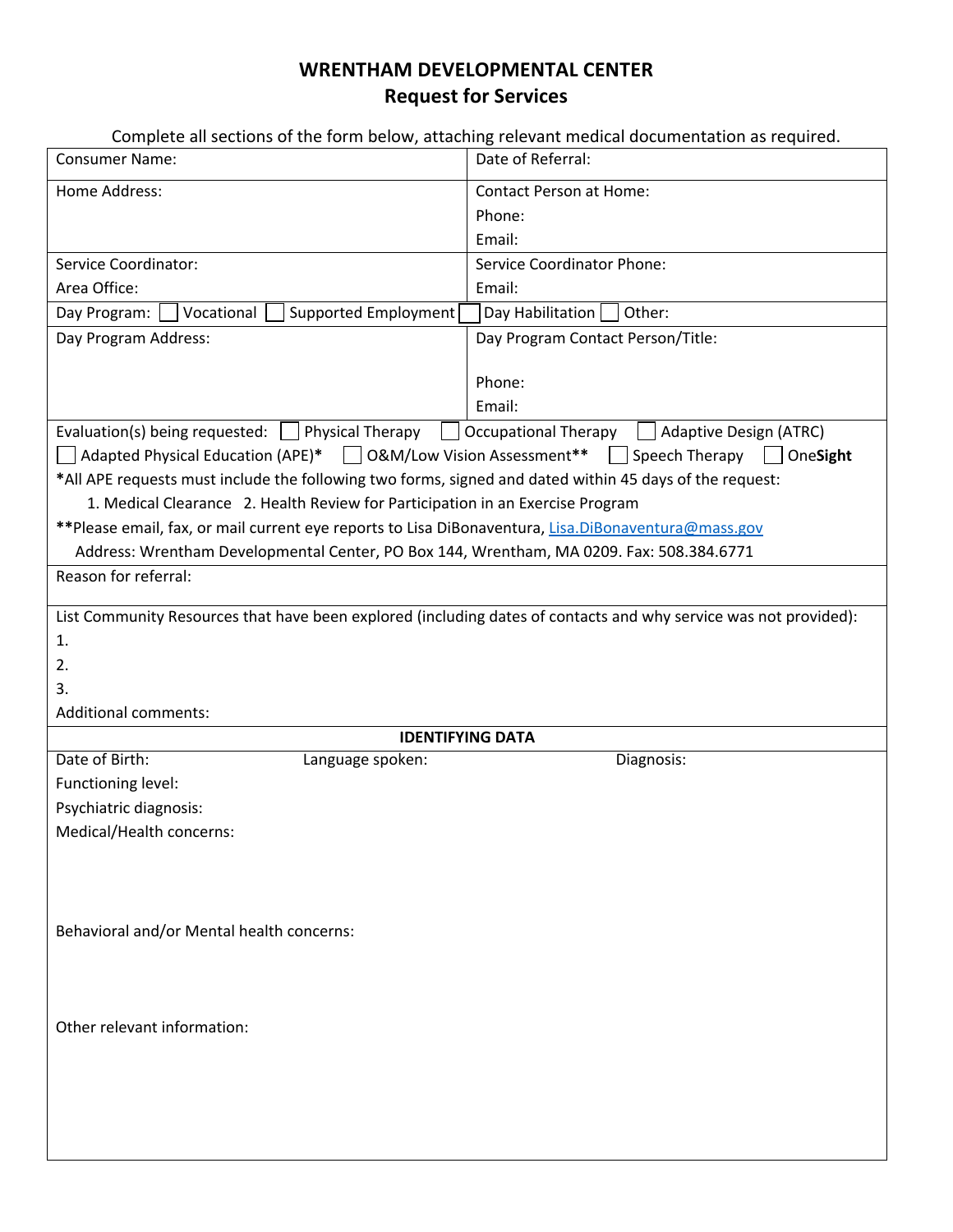## **WRENTHAM DEVELOPMENTAL CENTER Request for Services**

|                                                                                                                  | Complete all sections of the form below, attaching relevant medical documentation as required. |
|------------------------------------------------------------------------------------------------------------------|------------------------------------------------------------------------------------------------|
| <b>Consumer Name:</b>                                                                                            | Date of Referral:                                                                              |
| Home Address:                                                                                                    | <b>Contact Person at Home:</b><br>Phone:<br>Email:                                             |
| Service Coordinator:                                                                                             | <b>Service Coordinator Phone:</b>                                                              |
| Area Office:                                                                                                     | Email:                                                                                         |
| Supported Employment<br>Vocational<br>Day Program:                                                               | Day Habilitation<br>Other:                                                                     |
| Day Program Address:                                                                                             | Day Program Contact Person/Title:                                                              |
|                                                                                                                  | Phone:<br>Email:                                                                               |
| Evaluation(s) being requested: $\vert$   Physical Therapy                                                        | <b>Occupational Therapy</b><br>Adaptive Design (ATRC)                                          |
| □ Adapted Physical Education (APE)* □ O&M/Low Vision Assessment**                                                | $\vert$ Speech Therapy<br>OneSight                                                             |
| *All APE requests must include the following two forms, signed and dated within 45 days of the request:          |                                                                                                |
| 1. Medical Clearance 2. Health Review for Participation in an Exercise Program                                   |                                                                                                |
| **Please email, fax, or mail current eye reports to Lisa DiBonaventura, Lisa.DiBonaventura@mass.gov              |                                                                                                |
| Address: Wrentham Developmental Center, PO Box 144, Wrentham, MA 0209. Fax: 508.384.6771                         |                                                                                                |
| Reason for referral:                                                                                             |                                                                                                |
| List Community Resources that have been explored (including dates of contacts and why service was not provided): |                                                                                                |
| 1.                                                                                                               |                                                                                                |
| 2.                                                                                                               |                                                                                                |
| 3.                                                                                                               |                                                                                                |
| <b>Additional comments:</b>                                                                                      |                                                                                                |
| <b>IDENTIFYING DATA</b>                                                                                          |                                                                                                |
| Date of Birth:<br>Language spoken:                                                                               | Diagnosis:                                                                                     |
| Functioning level:                                                                                               |                                                                                                |
| Psychiatric diagnosis:                                                                                           |                                                                                                |
| Medical/Health concerns:                                                                                         |                                                                                                |
| Behavioral and/or Mental health concerns:                                                                        |                                                                                                |
| Other relevant information:                                                                                      |                                                                                                |